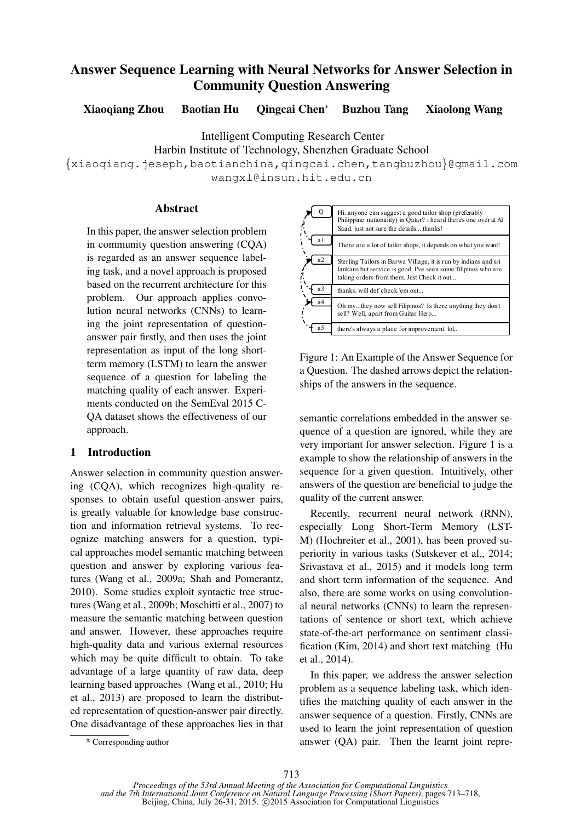# Answer Sequence Learning with Neural Networks for Answer Selection in Community Question Answering

Xiaoqiang Zhou Baotian Hu Qingcai Chen<sup>∗</sup> Buzhou Tang Xiaolong Wang

Intelligent Computing Research Center

Harbin Institute of Technology, Shenzhen Graduate School

{xiaoqiang.jeseph,baotianchina,qingcai.chen,tangbuzhou}@gmail.com wangxl@insun.hit.edu.cn

### Abstract

In this paper, the answer selection problem in community question answering (CQA) is regarded as an answer sequence labeling task, and a novel approach is proposed based on the recurrent architecture for this problem. Our approach applies convolution neural networks (CNNs) to learning the joint representation of questionanswer pair firstly, and then uses the joint representation as input of the long shortterm memory (LSTM) to learn the answer sequence of a question for labeling the matching quality of each answer. Experiments conducted on the SemEval 2015 C-QA dataset shows the effectiveness of our approach.

# 1 Introduction

Answer selection in community question answering (CQA), which recognizes high-quality responses to obtain useful question-answer pairs, is greatly valuable for knowledge base construction and information retrieval systems. To recognize matching answers for a question, typical approaches model semantic matching between question and answer by exploring various features (Wang et al., 2009a; Shah and Pomerantz, 2010). Some studies exploit syntactic tree structures (Wang et al., 2009b; Moschitti et al., 2007) to measure the semantic matching between question and answer. However, these approaches require high-quality data and various external resources which may be quite difficult to obtain. To take advantage of a large quantity of raw data, deep learning based approaches (Wang et al., 2010; Hu et al., 2013) are proposed to learn the distributed representation of question-answer pair directly. One disadvantage of these approaches lies in that Figure 1: An Example of the Answer Sequence for a Question. The dashed arrows depict the relationships of the answers in the sequence.

semantic correlations embedded in the answer sequence of a question are ignored, while they are very important for answer selection. Figure 1 is a example to show the relationship of answers in the sequence for a given question. Intuitively, other answers of the question are beneficial to judge the quality of the current answer.

Recently, recurrent neural network (RNN), especially Long Short-Term Memory (LST-M) (Hochreiter et al., 2001), has been proved superiority in various tasks (Sutskever et al., 2014; Srivastava et al., 2015) and it models long term and short term information of the sequence. And also, there are some works on using convolutional neural networks (CNNs) to learn the representations of sentence or short text, which achieve state-of-the-art performance on sentiment classification (Kim, 2014) and short text matching (Hu et al., 2014).

In this paper, we address the answer selection problem as a sequence labeling task, which identifies the matching quality of each answer in the answer sequence of a question. Firstly, CNNs are used to learn the joint representation of question answer (QA) pair. Then the learnt joint repre-

Hi. anyone can suggest a good tailor shop (preferably Philippine nationality) in Qatar? i heard there's one over at Al Saad. just not sure the details. thanks! There are a lot of tailor shops, it depends on what you want! Sterling Tailors in Barwa Village, it is run by indians and sri lankans but service is good. I've seen some filipinos who are taking orders from them. Just Check it out. thanks. will def check 'em out... Oh my...they now sell Filipinos? Is there anything they don't sell? Well, apart from Guitar Hero... there's always a place for improvement. lol,.  $\overline{O}$ a1  $\sqrt{a^2}$  $a3$  $\Gamma$  a4 a5

<sup>∗</sup> \* Corresponding author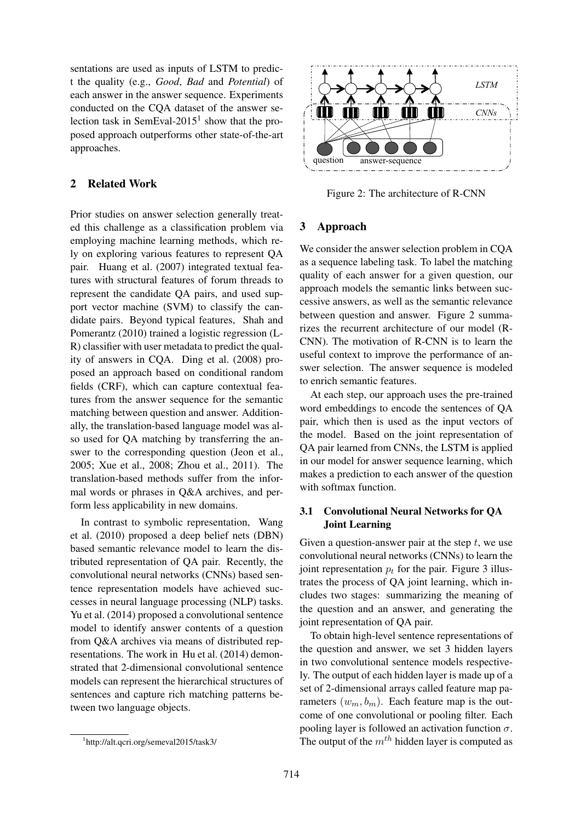sentations are used as inputs of LSTM to predict the quality (e.g., *Good*, *Bad* and *Potential*) of each answer in the answer sequence. Experiments conducted on the CQA dataset of the answer selection task in SemEval-2015<sup>1</sup> show that the proposed approach outperforms other state-of-the-art approaches.

# 2 Related Work

Prior studies on answer selection generally treated this challenge as a classification problem via employing machine learning methods, which rely on exploring various features to represent QA pair. Huang et al. (2007) integrated textual features with structural features of forum threads to represent the candidate QA pairs, and used support vector machine (SVM) to classify the candidate pairs. Beyond typical features, Shah and Pomerantz (2010) trained a logistic regression (L-R) classifier with user metadata to predict the quality of answers in CQA. Ding et al. (2008) proposed an approach based on conditional random fields (CRF), which can capture contextual features from the answer sequence for the semantic matching between question and answer. Additionally, the translation-based language model was also used for QA matching by transferring the answer to the corresponding question (Jeon et al., 2005; Xue et al., 2008; Zhou et al., 2011). The translation-based methods suffer from the informal words or phrases in Q&A archives, and perform less applicability in new domains.

In contrast to symbolic representation, Wang et al. (2010) proposed a deep belief nets (DBN) based semantic relevance model to learn the distributed representation of QA pair. Recently, the convolutional neural networks (CNNs) based sentence representation models have achieved successes in neural language processing (NLP) tasks. Yu et al. (2014) proposed a convolutional sentence model to identify answer contents of a question from Q&A archives via means of distributed representations. The work in Hu et al. (2014) demonstrated that 2-dimensional convolutional sentence models can represent the hierarchical structures of sentences and capture rich matching patterns between two language objects.





Figure 2: The architecture of R-CNN

### 3 Approach

We consider the answer selection problem in CQA as a sequence labeling task. To label the matching quality of each answer for a given question, our approach models the semantic links between successive answers, as well as the semantic relevance between question and answer. Figure 2 summarizes the recurrent architecture of our model (R-CNN). The motivation of R-CNN is to learn the useful context to improve the performance of answer selection. The answer sequence is modeled to enrich semantic features.

At each step, our approach uses the pre-trained word embeddings to encode the sentences of QA pair, which then is used as the input vectors of the model. Based on the joint representation of QA pair learned from CNNs, the LSTM is applied in our model for answer sequence learning, which makes a prediction to each answer of the question with softmax function.

# 3.1 Convolutional Neural Networks for QA Joint Learning

Given a question-answer pair at the step  $t$ , we use convolutional neural networks (CNNs) to learn the joint representation  $p_t$  for the pair. Figure 3 illustrates the process of QA joint learning, which includes two stages: summarizing the meaning of the question and an answer, and generating the joint representation of QA pair.

To obtain high-level sentence representations of the question and answer, we set 3 hidden layers in two convolutional sentence models respectively. The output of each hidden layer is made up of a set of 2-dimensional arrays called feature map parameters  $(w_m, b_m)$ . Each feature map is the outcome of one convolutional or pooling filter. Each pooling layer is followed an activation function  $\sigma$ . The output of the  $m<sup>th</sup>$  hidden layer is computed as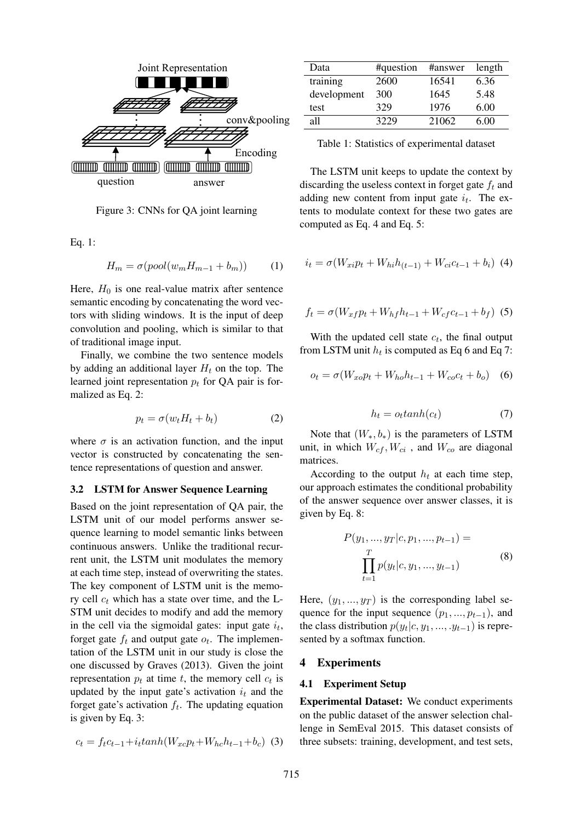

Figure 3: CNNs for QA joint learning

Eq. 1:

$$
H_m = \sigma(pool(w_m H_{m-1} + b_m)) \tag{1}
$$

Here,  $H_0$  is one real-value matrix after sentence semantic encoding by concatenating the word vectors with sliding windows. It is the input of deep convolution and pooling, which is similar to that of traditional image input.

Finally, we combine the two sentence models by adding an additional layer  $H_t$  on the top. The learned joint representation  $p_t$  for QA pair is formalized as Eq. 2:

$$
p_t = \sigma(w_t H_t + b_t) \tag{2}
$$

where  $\sigma$  is an activation function, and the input vector is constructed by concatenating the sentence representations of question and answer.

#### 3.2 LSTM for Answer Sequence Learning

Based on the joint representation of QA pair, the LSTM unit of our model performs answer sequence learning to model semantic links between continuous answers. Unlike the traditional recurrent unit, the LSTM unit modulates the memory at each time step, instead of overwriting the states. The key component of LSTM unit is the memory cell  $c_t$  which has a state over time, and the L-STM unit decides to modify and add the memory in the cell via the sigmoidal gates: input gate  $i_t$ , forget gate  $f_t$  and output gate  $o_t$ . The implementation of the LSTM unit in our study is close the one discussed by Graves (2013). Given the joint representation  $p_t$  at time t, the memory cell  $c_t$  is updated by the input gate's activation  $i_t$  and the forget gate's activation  $f_t$ . The updating equation is given by Eq. 3:

$$
c_t = f_t c_{t-1} + i_t \tanh(W_{xc} p_t + W_{hc} h_{t-1} + b_c) \tag{3}
$$

| Data        | #question | #answer | length |
|-------------|-----------|---------|--------|
| training    | 2600      | 16541   | 6.36   |
| development | 300       | 1645    | 5.48   |
| test        | 329       | 1976    | 6.00   |
| all         | 3229      | 21062   | 6.00   |

Table 1: Statistics of experimental dataset

The LSTM unit keeps to update the context by discarding the useless context in forget gate  $f_t$  and adding new content from input gate  $i_t$ . The extents to modulate context for these two gates are computed as Eq. 4 and Eq. 5:

$$
i_t = \sigma(W_{xi}p_t + W_{hi}h_{(t-1)} + W_{ci}c_{t-1} + b_i)
$$
 (4)

$$
f_t = \sigma(W_{xf}p_t + W_{hf}h_{t-1} + W_{cf}c_{t-1} + b_f)
$$
 (5)

With the updated cell state  $c_t$ , the final output from LSTM unit  $h_t$  is computed as Eq 6 and Eq 7:

$$
o_t = \sigma(W_{xo}p_t + W_{ho}h_{t-1} + W_{co}c_t + b_o)
$$
 (6)

$$
h_t = o_t \tanh(c_t) \tag{7}
$$

Note that  $(W_*, b_*)$  is the parameters of LSTM unit, in which  $W_{cf}$ ,  $W_{ci}$ , and  $W_{co}$  are diagonal matrices.

According to the output  $h_t$  at each time step, our approach estimates the conditional probability of the answer sequence over answer classes, it is given by Eq. 8:

$$
P(y_1, ..., y_T | c, p_1, ..., p_{t-1}) =
$$
  
\n
$$
\prod_{t=1}^T p(y_t | c, y_1, ..., y_{t-1})
$$
\n(8)

Here,  $(y_1, ..., y_T)$  is the corresponding label sequence for the input sequence  $(p_1, ..., p_{t-1})$ , and the class distribution  $p(y_t|c, y_1, \ldots, y_{t-1})$  is represented by a softmax function.

### 4 Experiments

#### 4.1 Experiment Setup

Experimental Dataset: We conduct experiments on the public dataset of the answer selection challenge in SemEval 2015. This dataset consists of three subsets: training, development, and test sets,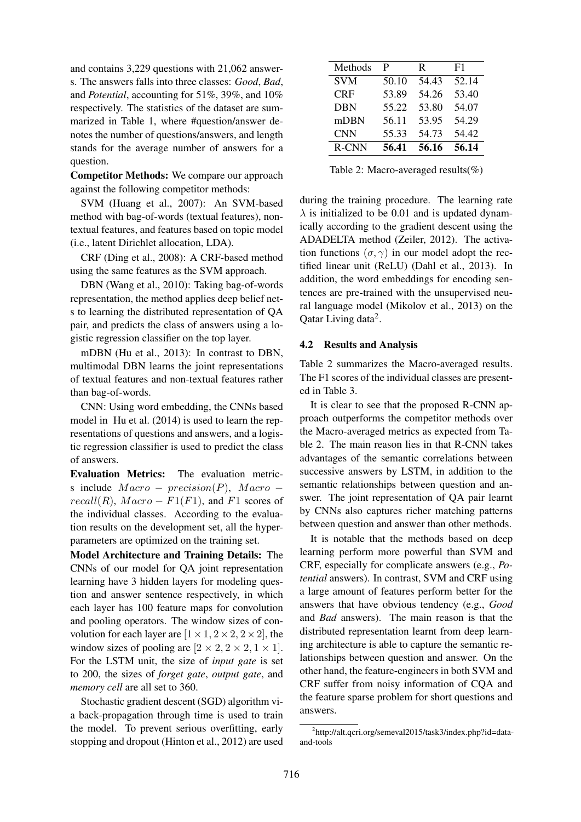and contains 3,229 questions with 21,062 answers. The answers falls into three classes: *Good*, *Bad*, and *Potential*, accounting for 51%, 39%, and 10% respectively. The statistics of the dataset are summarized in Table 1, where #question/answer denotes the number of questions/answers, and length stands for the average number of answers for a question.

Competitor Methods: We compare our approach against the following competitor methods:

SVM (Huang et al., 2007): An SVM-based method with bag-of-words (textual features), nontextual features, and features based on topic model (i.e., latent Dirichlet allocation, LDA).

CRF (Ding et al., 2008): A CRF-based method using the same features as the SVM approach.

DBN (Wang et al., 2010): Taking bag-of-words representation, the method applies deep belief nets to learning the distributed representation of QA pair, and predicts the class of answers using a logistic regression classifier on the top layer.

mDBN (Hu et al., 2013): In contrast to DBN, multimodal DBN learns the joint representations of textual features and non-textual features rather than bag-of-words.

CNN: Using word embedding, the CNNs based model in Hu et al. (2014) is used to learn the representations of questions and answers, and a logistic regression classifier is used to predict the class of answers.

Evaluation Metrics: The evaluation metrics include  $Macco - precision(P)$ ,  $Macco$  $recall(R), Marco - F1(F1), and F1 scores of$ the individual classes. According to the evaluation results on the development set, all the hyperparameters are optimized on the training set.

Model Architecture and Training Details: The CNNs of our model for QA joint representation learning have 3 hidden layers for modeling question and answer sentence respectively, in which each layer has 100 feature maps for convolution and pooling operators. The window sizes of convolution for each layer are  $[1 \times 1, 2 \times 2, 2 \times 2]$ , the window sizes of pooling are  $[2 \times 2, 2 \times 2, 1 \times 1]$ . For the LSTM unit, the size of *input gate* is set to 200, the sizes of *forget gate*, *output gate*, and *memory cell* are all set to 360.

Stochastic gradient descent (SGD) algorithm via back-propagation through time is used to train the model. To prevent serious overfitting, early stopping and dropout (Hinton et al., 2012) are used

| Methods    | P     | R     | F1    |
|------------|-------|-------|-------|
| <b>SVM</b> | 50.10 | 54.43 | 52.14 |
| <b>CRF</b> | 53.89 | 54.26 | 53.40 |
| <b>DBN</b> | 55.22 | 53.80 | 54.07 |
| mDBN       | 56.11 | 53.95 | 54.29 |
| <b>CNN</b> | 55.33 | 54.73 | 54.42 |
| R-CNN      | 56.41 | 56.16 | 56.14 |

Table 2: Macro-averaged results(%)

during the training procedure. The learning rate  $\lambda$  is initialized to be 0.01 and is updated dynamically according to the gradient descent using the ADADELTA method (Zeiler, 2012). The activation functions  $(\sigma, \gamma)$  in our model adopt the rectified linear unit (ReLU) (Dahl et al., 2013). In addition, the word embeddings for encoding sentences are pre-trained with the unsupervised neural language model (Mikolov et al., 2013) on the Qatar Living data<sup>2</sup>.

# 4.2 Results and Analysis

Table 2 summarizes the Macro-averaged results. The F1 scores of the individual classes are presented in Table 3.

It is clear to see that the proposed R-CNN approach outperforms the competitor methods over the Macro-averaged metrics as expected from Table 2. The main reason lies in that R-CNN takes advantages of the semantic correlations between successive answers by LSTM, in addition to the semantic relationships between question and answer. The joint representation of QA pair learnt by CNNs also captures richer matching patterns between question and answer than other methods.

It is notable that the methods based on deep learning perform more powerful than SVM and CRF, especially for complicate answers (e.g., *Potential* answers). In contrast, SVM and CRF using a large amount of features perform better for the answers that have obvious tendency (e.g., *Good* and *Bad* answers). The main reason is that the distributed representation learnt from deep learning architecture is able to capture the semantic relationships between question and answer. On the other hand, the feature-engineers in both SVM and CRF suffer from noisy information of CQA and the feature sparse problem for short questions and answers.

<sup>2</sup> http://alt.qcri.org/semeval2015/task3/index.php?id=dataand-tools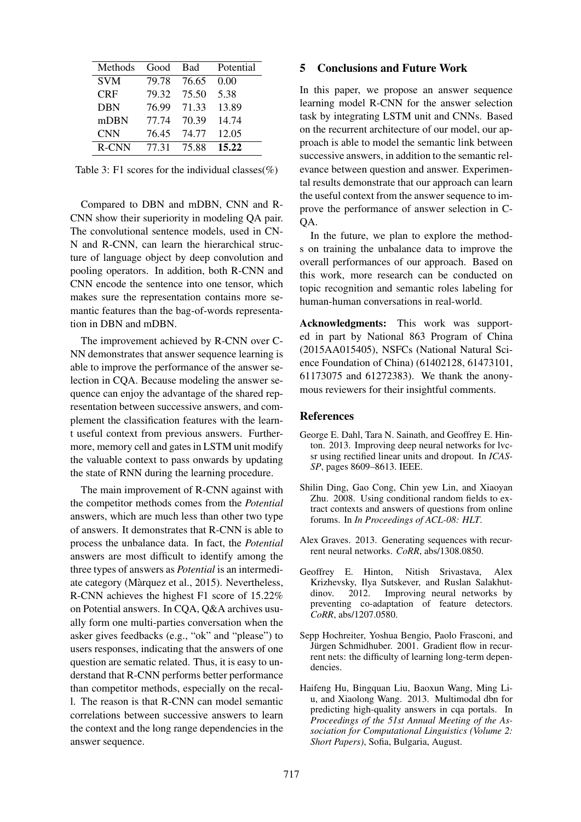| Methods    | Good  | Bad   | Potential |
|------------|-------|-------|-----------|
| <b>SVM</b> | 79.78 | 76.65 | 0.00      |
| <b>CRF</b> | 79.32 | 75.50 | 5.38      |
| <b>DBN</b> | 76.99 | 71.33 | 13.89     |
| mDBN       | 77.74 | 70.39 | 14.74     |
| <b>CNN</b> | 76.45 | 74.77 | 12.05     |
| R-CNN      | 77.31 | 75.88 | 15.22     |

Table 3: F1 scores for the individual classes(%)

Compared to DBN and mDBN, CNN and R-CNN show their superiority in modeling QA pair. The convolutional sentence models, used in CN-N and R-CNN, can learn the hierarchical structure of language object by deep convolution and pooling operators. In addition, both R-CNN and CNN encode the sentence into one tensor, which makes sure the representation contains more semantic features than the bag-of-words representation in DBN and mDBN.

The improvement achieved by R-CNN over C-NN demonstrates that answer sequence learning is able to improve the performance of the answer selection in CQA. Because modeling the answer sequence can enjoy the advantage of the shared representation between successive answers, and complement the classification features with the learnt useful context from previous answers. Furthermore, memory cell and gates in LSTM unit modify the valuable context to pass onwards by updating the state of RNN during the learning procedure.

The main improvement of R-CNN against with the competitor methods comes from the *Potential* answers, which are much less than other two type of answers. It demonstrates that R-CNN is able to process the unbalance data. In fact, the *Potential* answers are most difficult to identify among the three types of answers as *Potential* is an intermediate category (Marquez et al., 2015). Nevertheless, ` R-CNN achieves the highest F1 score of 15.22% on Potential answers. In CQA, Q&A archives usually form one multi-parties conversation when the asker gives feedbacks (e.g., "ok" and "please") to users responses, indicating that the answers of one question are sematic related. Thus, it is easy to understand that R-CNN performs better performance than competitor methods, especially on the recall. The reason is that R-CNN can model semantic correlations between successive answers to learn the context and the long range dependencies in the answer sequence.

### 5 Conclusions and Future Work

In this paper, we propose an answer sequence learning model R-CNN for the answer selection task by integrating LSTM unit and CNNs. Based on the recurrent architecture of our model, our approach is able to model the semantic link between successive answers, in addition to the semantic relevance between question and answer. Experimental results demonstrate that our approach can learn the useful context from the answer sequence to improve the performance of answer selection in C-QA.

In the future, we plan to explore the methods on training the unbalance data to improve the overall performances of our approach. Based on this work, more research can be conducted on topic recognition and semantic roles labeling for human-human conversations in real-world.

Acknowledgments: This work was supported in part by National 863 Program of China (2015AA015405), NSFCs (National Natural Science Foundation of China) (61402128, 61473101, 61173075 and 61272383). We thank the anonymous reviewers for their insightful comments.

### References

- George E. Dahl, Tara N. Sainath, and Geoffrey E. Hinton. 2013. Improving deep neural networks for lvcsr using rectified linear units and dropout. In *ICAS-SP*, pages 8609–8613. IEEE.
- Shilin Ding, Gao Cong, Chin yew Lin, and Xiaoyan Zhu. 2008. Using conditional random fields to extract contexts and answers of questions from online forums. In *In Proceedings of ACL-08: HLT*.
- Alex Graves. 2013. Generating sequences with recurrent neural networks. *CoRR*, abs/1308.0850.
- Geoffrey E. Hinton, Nitish Srivastava, Alex Krizhevsky, Ilya Sutskever, and Ruslan Salakhutdinov. 2012. Improving neural networks by preventing co-adaptation of feature detectors. *CoRR*, abs/1207.0580.
- Sepp Hochreiter, Yoshua Bengio, Paolo Frasconi, and Jürgen Schmidhuber. 2001. Gradient flow in recurrent nets: the difficulty of learning long-term dependencies.
- Haifeng Hu, Bingquan Liu, Baoxun Wang, Ming Liu, and Xiaolong Wang. 2013. Multimodal dbn for predicting high-quality answers in cqa portals. In *Proceedings of the 51st Annual Meeting of the Association for Computational Linguistics (Volume 2: Short Papers)*, Sofia, Bulgaria, August.